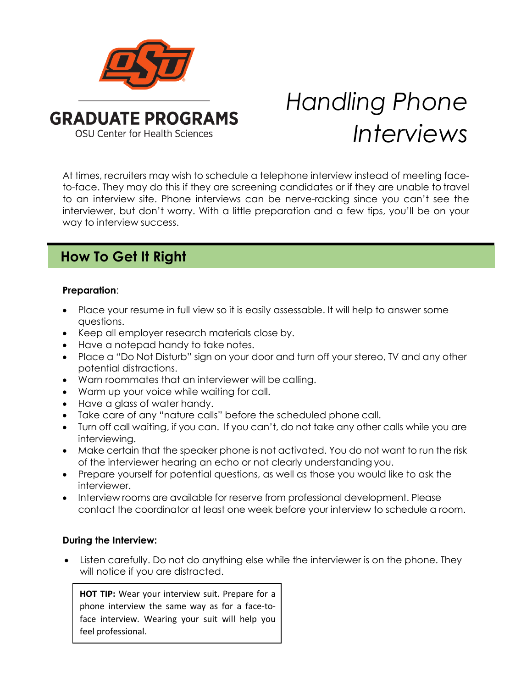

# *Handling Phone Interviews*

At times, recruiters may wish to schedule a telephone interview instead of meeting faceto-face. They may do this if they are screening candidates or if they are unable to travel to an interview site. Phone interviews can be nerve-racking since you can't see the interviewer, but don't worry. With a little preparation and a few tips, you'll be on your way to interview success.

## **How To Get It Right**

### **Preparation**:

- Place your resume in full view so it is easily assessable. It will help to answer some questions.
- Keep all employer research materials close by.
- Have a notepad handy to take notes.
- Place a "Do Not Disturb" sign on your door and turn off your stereo, TV and any other potential distractions.
- Warn roommates that an interviewer will be calling.
- Warm up your voice while waiting for call.
- Have a glass of water handy.
- Take care of any "nature calls" before the scheduled phone call.
- Turn off call waiting, if you can. If you can't, do not take any other calls while you are interviewing.
- Make certain that the speaker phone is not activated. You do not want to run the risk of the interviewer hearing an echo or not clearly understanding you.
- Prepare yourself for potential questions, as well as those you would like to ask the interviewer.
- Interview rooms are available for reserve from professional development. Please contact the coordinator at least one week before your interview to schedule a room.

#### **During the Interview:**

• Listen carefully. Do not do anything else while the interviewer is on the phone. They will notice if you are distracted.

**HOT TIP:** Wear your interview suit. Prepare for a phone interview the same way as for a face-toface interview. Wearing your suit will help you feel professional.